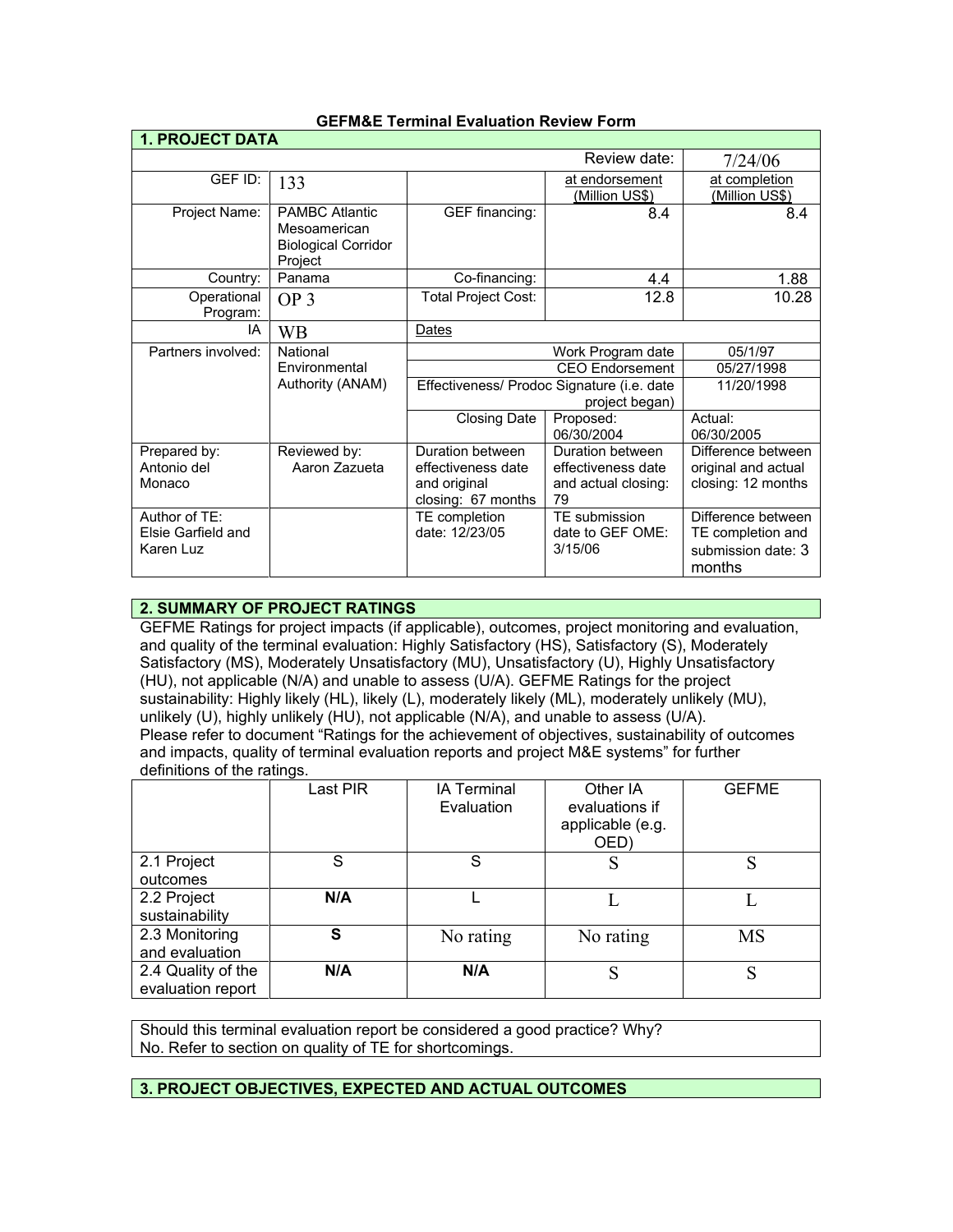| <b>1. PROJECT DATA</b>                           |                                                                                |                                                                              |                                                                     |                                                                         |
|--------------------------------------------------|--------------------------------------------------------------------------------|------------------------------------------------------------------------------|---------------------------------------------------------------------|-------------------------------------------------------------------------|
|                                                  |                                                                                |                                                                              | Review date:                                                        | 7/24/06                                                                 |
| GEF ID:                                          | 133                                                                            |                                                                              | at endorsement<br>(Million US\$)                                    | at completion<br>(Million US\$)                                         |
| Project Name:                                    | <b>PAMBC Atlantic</b><br>Mesoamerican<br><b>Biological Corridor</b><br>Project | GEF financing:                                                               | 8.4                                                                 | 8.4                                                                     |
| Country:                                         | Panama                                                                         | Co-financing:                                                                | 4.4                                                                 | 1.88                                                                    |
| Operational<br>Program:                          | OP <sub>3</sub>                                                                | <b>Total Project Cost:</b>                                                   | 12.8                                                                | 10.28                                                                   |
| IA                                               | <b>WB</b>                                                                      | Dates                                                                        |                                                                     |                                                                         |
| Partners involved:                               | National                                                                       |                                                                              | Work Program date                                                   | 05/1/97                                                                 |
|                                                  | <b>Fnvironmental</b>                                                           |                                                                              | <b>CEO Endorsement</b>                                              | 05/27/1998                                                              |
|                                                  | Authority (ANAM)                                                               | Effectiveness/ Prodoc Signature (i.e. date<br>project began)                 |                                                                     | 11/20/1998                                                              |
|                                                  |                                                                                | <b>Closing Date</b>                                                          | Proposed:<br>06/30/2004                                             | Actual:<br>06/30/2005                                                   |
| Prepared by:<br>Antonio del<br>Monaco            | Reviewed by:<br>Aaron Zazueta                                                  | Duration between<br>effectiveness date<br>and original<br>closing: 67 months | Duration between<br>effectiveness date<br>and actual closing:<br>79 | Difference between<br>original and actual<br>closing: 12 months         |
| Author of TE:<br>Elsie Garfield and<br>Karen Luz |                                                                                | TE completion<br>date: 12/23/05                                              | TE submission<br>date to GEF OME:<br>3/15/06                        | Difference between<br>TE completion and<br>submission date: 3<br>months |

## **GEFM&E Terminal Evaluation Review Form**

# **2. SUMMARY OF PROJECT RATINGS**

GEFME Ratings for project impacts (if applicable), outcomes, project monitoring and evaluation, and quality of the terminal evaluation: Highly Satisfactory (HS), Satisfactory (S), Moderately Satisfactory (MS), Moderately Unsatisfactory (MU), Unsatisfactory (U), Highly Unsatisfactory (HU), not applicable (N/A) and unable to assess (U/A). GEFME Ratings for the project sustainability: Highly likely (HL), likely (L), moderately likely (ML), moderately unlikely (MU), unlikely (U), highly unlikely (HU), not applicable (N/A), and unable to assess (U/A). Please refer to document "Ratings for the achievement of objectives, sustainability of outcomes and impacts, quality of terminal evaluation reports and project M&E systems" for further definitions of the ratings.

|                                         | Last PIR | <b>IA Terminal</b><br>Evaluation | Other IA<br>evaluations if<br>applicable (e.g.<br>OED) | <b>GEFME</b> |
|-----------------------------------------|----------|----------------------------------|--------------------------------------------------------|--------------|
| 2.1 Project<br>outcomes                 | S        | S                                | S                                                      |              |
| 2.2 Project<br>sustainability           | N/A      |                                  |                                                        |              |
| 2.3 Monitoring<br>and evaluation        | S        | No rating                        | No rating                                              | <b>MS</b>    |
| 2.4 Quality of the<br>evaluation report | N/A      | N/A                              | S                                                      |              |

Should this terminal evaluation report be considered a good practice? Why? No. Refer to section on quality of TE for shortcomings.

# **3. PROJECT OBJECTIVES, EXPECTED AND ACTUAL OUTCOMES**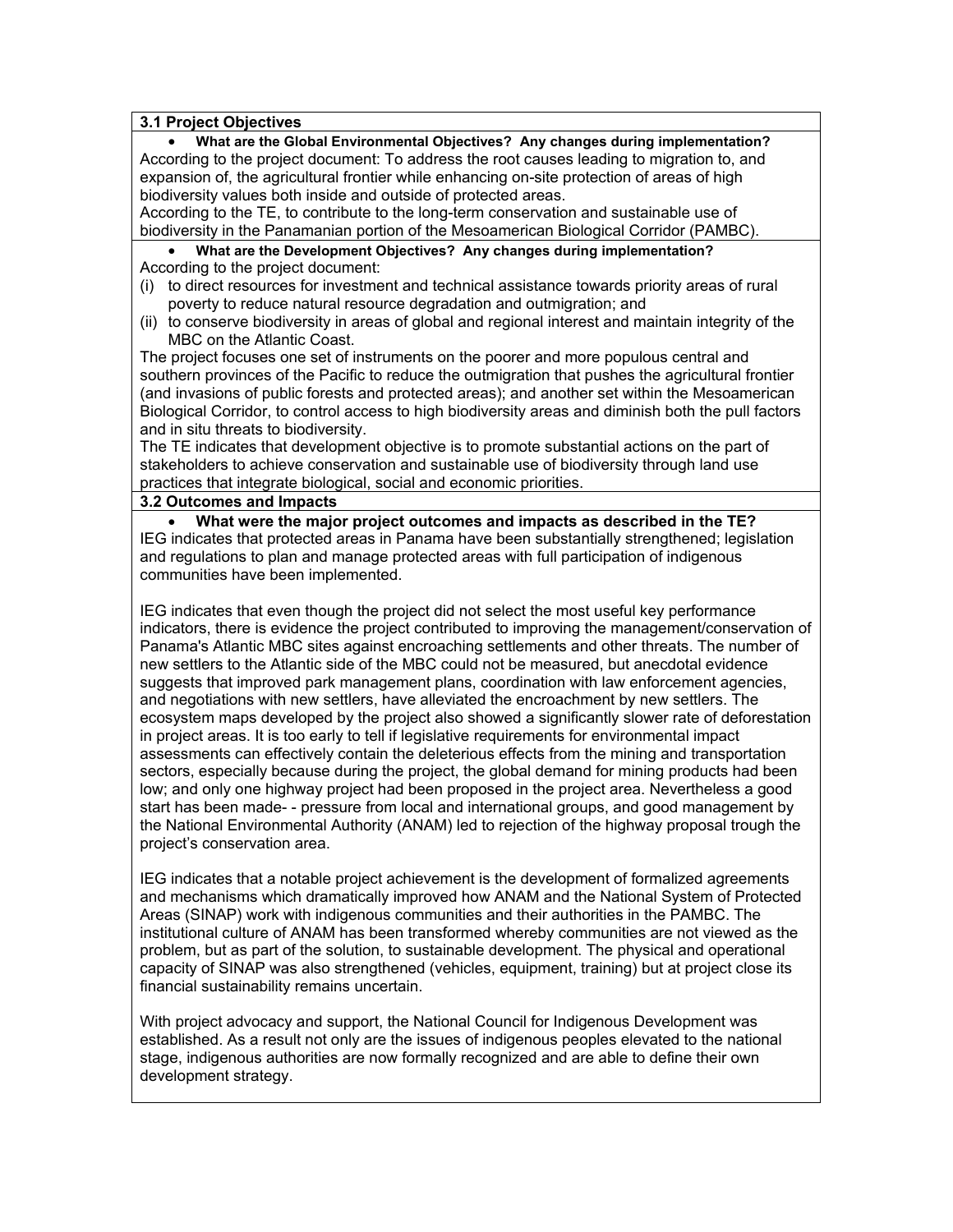### **3.1 Project Objectives**

• **What are the Global Environmental Objectives? Any changes during implementation?** According to the project document: To address the root causes leading to migration to, and expansion of, the agricultural frontier while enhancing on-site protection of areas of high biodiversity values both inside and outside of protected areas.

According to the TE, to contribute to the long-term conservation and sustainable use of biodiversity in the Panamanian portion of the Mesoamerican Biological Corridor (PAMBC).

• **What are the Development Objectives? Any changes during implementation?** According to the project document:

- (i) to direct resources for investment and technical assistance towards priority areas of rural poverty to reduce natural resource degradation and outmigration; and
- (ii) to conserve biodiversity in areas of global and regional interest and maintain integrity of the MBC on the Atlantic Coast.

The project focuses one set of instruments on the poorer and more populous central and southern provinces of the Pacific to reduce the outmigration that pushes the agricultural frontier (and invasions of public forests and protected areas); and another set within the Mesoamerican Biological Corridor, to control access to high biodiversity areas and diminish both the pull factors and in situ threats to biodiversity.

The TE indicates that development objective is to promote substantial actions on the part of stakeholders to achieve conservation and sustainable use of biodiversity through land use practices that integrate biological, social and economic priorities.

#### **3.2 Outcomes and Impacts**

• **What were the major project outcomes and impacts as described in the TE?** IEG indicates that protected areas in Panama have been substantially strengthened; legislation and regulations to plan and manage protected areas with full participation of indigenous communities have been implemented.

IEG indicates that even though the project did not select the most useful key performance indicators, there is evidence the project contributed to improving the management/conservation of Panama's Atlantic MBC sites against encroaching settlements and other threats. The number of new settlers to the Atlantic side of the MBC could not be measured, but anecdotal evidence suggests that improved park management plans, coordination with law enforcement agencies, and negotiations with new settlers, have alleviated the encroachment by new settlers. The ecosystem maps developed by the project also showed a significantly slower rate of deforestation in project areas. It is too early to tell if legislative requirements for environmental impact assessments can effectively contain the deleterious effects from the mining and transportation sectors, especially because during the project, the global demand for mining products had been low; and only one highway project had been proposed in the project area. Nevertheless a good start has been made- - pressure from local and international groups, and good management by the National Environmental Authority (ANAM) led to rejection of the highway proposal trough the project's conservation area.

IEG indicates that a notable project achievement is the development of formalized agreements and mechanisms which dramatically improved how ANAM and the National System of Protected Areas (SINAP) work with indigenous communities and their authorities in the PAMBC. The institutional culture of ANAM has been transformed whereby communities are not viewed as the problem, but as part of the solution, to sustainable development. The physical and operational capacity of SINAP was also strengthened (vehicles, equipment, training) but at project close its financial sustainability remains uncertain.

With project advocacy and support, the National Council for Indigenous Development was established. As a result not only are the issues of indigenous peoples elevated to the national stage, indigenous authorities are now formally recognized and are able to define their own development strategy.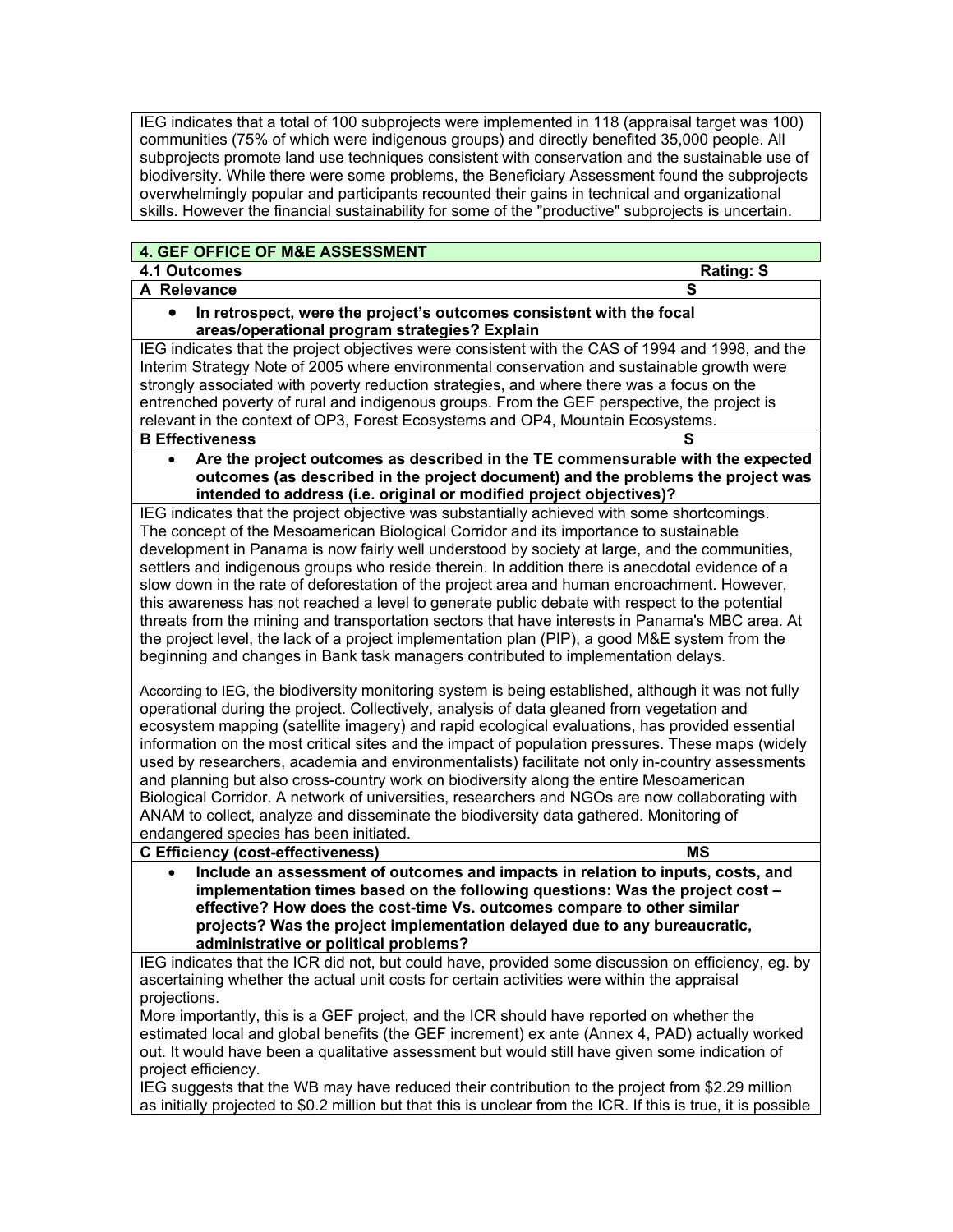IEG indicates that a total of 100 subprojects were implemented in 118 (appraisal target was 100) communities (75% of which were indigenous groups) and directly benefited 35,000 people. All subprojects promote land use techniques consistent with conservation and the sustainable use of biodiversity. While there were some problems, the Beneficiary Assessment found the subprojects overwhelmingly popular and participants recounted their gains in technical and organizational skills. However the financial sustainability for some of the "productive" subprojects is uncertain.

| 4. GEF OFFICE OF M&E ASSESSMENT                                                                                                                                                                                                                                                                                                                                                                                                                                                                                                                                                                                                                                                                                                                                                                                                               |
|-----------------------------------------------------------------------------------------------------------------------------------------------------------------------------------------------------------------------------------------------------------------------------------------------------------------------------------------------------------------------------------------------------------------------------------------------------------------------------------------------------------------------------------------------------------------------------------------------------------------------------------------------------------------------------------------------------------------------------------------------------------------------------------------------------------------------------------------------|
| 4.1 Outcomes<br><b>Rating: S</b>                                                                                                                                                                                                                                                                                                                                                                                                                                                                                                                                                                                                                                                                                                                                                                                                              |
| A Relevance<br>S                                                                                                                                                                                                                                                                                                                                                                                                                                                                                                                                                                                                                                                                                                                                                                                                                              |
| In retrospect, were the project's outcomes consistent with the focal                                                                                                                                                                                                                                                                                                                                                                                                                                                                                                                                                                                                                                                                                                                                                                          |
| areas/operational program strategies? Explain                                                                                                                                                                                                                                                                                                                                                                                                                                                                                                                                                                                                                                                                                                                                                                                                 |
| IEG indicates that the project objectives were consistent with the CAS of 1994 and 1998, and the                                                                                                                                                                                                                                                                                                                                                                                                                                                                                                                                                                                                                                                                                                                                              |
| Interim Strategy Note of 2005 where environmental conservation and sustainable growth were                                                                                                                                                                                                                                                                                                                                                                                                                                                                                                                                                                                                                                                                                                                                                    |
| strongly associated with poverty reduction strategies, and where there was a focus on the                                                                                                                                                                                                                                                                                                                                                                                                                                                                                                                                                                                                                                                                                                                                                     |
| entrenched poverty of rural and indigenous groups. From the GEF perspective, the project is                                                                                                                                                                                                                                                                                                                                                                                                                                                                                                                                                                                                                                                                                                                                                   |
| relevant in the context of OP3, Forest Ecosystems and OP4, Mountain Ecosystems.                                                                                                                                                                                                                                                                                                                                                                                                                                                                                                                                                                                                                                                                                                                                                               |
| <b>B Effectiveness</b>                                                                                                                                                                                                                                                                                                                                                                                                                                                                                                                                                                                                                                                                                                                                                                                                                        |
| Are the project outcomes as described in the TE commensurable with the expected<br>$\bullet$                                                                                                                                                                                                                                                                                                                                                                                                                                                                                                                                                                                                                                                                                                                                                  |
| outcomes (as described in the project document) and the problems the project was<br>intended to address (i.e. original or modified project objectives)?                                                                                                                                                                                                                                                                                                                                                                                                                                                                                                                                                                                                                                                                                       |
| IEG indicates that the project objective was substantially achieved with some shortcomings.                                                                                                                                                                                                                                                                                                                                                                                                                                                                                                                                                                                                                                                                                                                                                   |
| The concept of the Mesoamerican Biological Corridor and its importance to sustainable                                                                                                                                                                                                                                                                                                                                                                                                                                                                                                                                                                                                                                                                                                                                                         |
| development in Panama is now fairly well understood by society at large, and the communities,                                                                                                                                                                                                                                                                                                                                                                                                                                                                                                                                                                                                                                                                                                                                                 |
| settlers and indigenous groups who reside therein. In addition there is anecdotal evidence of a                                                                                                                                                                                                                                                                                                                                                                                                                                                                                                                                                                                                                                                                                                                                               |
| slow down in the rate of deforestation of the project area and human encroachment. However,                                                                                                                                                                                                                                                                                                                                                                                                                                                                                                                                                                                                                                                                                                                                                   |
| this awareness has not reached a level to generate public debate with respect to the potential                                                                                                                                                                                                                                                                                                                                                                                                                                                                                                                                                                                                                                                                                                                                                |
| threats from the mining and transportation sectors that have interests in Panama's MBC area. At                                                                                                                                                                                                                                                                                                                                                                                                                                                                                                                                                                                                                                                                                                                                               |
| the project level, the lack of a project implementation plan (PIP), a good M&E system from the                                                                                                                                                                                                                                                                                                                                                                                                                                                                                                                                                                                                                                                                                                                                                |
| beginning and changes in Bank task managers contributed to implementation delays.                                                                                                                                                                                                                                                                                                                                                                                                                                                                                                                                                                                                                                                                                                                                                             |
| According to IEG, the biodiversity monitoring system is being established, although it was not fully<br>operational during the project. Collectively, analysis of data gleaned from vegetation and<br>ecosystem mapping (satellite imagery) and rapid ecological evaluations, has provided essential<br>information on the most critical sites and the impact of population pressures. These maps (widely<br>used by researchers, academia and environmentalists) facilitate not only in-country assessments<br>and planning but also cross-country work on biodiversity along the entire Mesoamerican<br>Biological Corridor. A network of universities, researchers and NGOs are now collaborating with<br>ANAM to collect, analyze and disseminate the biodiversity data gathered. Monitoring of<br>endangered species has been initiated. |
| <b>MS</b><br><b>C Efficiency (cost-effectiveness)</b>                                                                                                                                                                                                                                                                                                                                                                                                                                                                                                                                                                                                                                                                                                                                                                                         |
| Include an assessment of outcomes and impacts in relation to inputs, costs, and<br>$\bullet$                                                                                                                                                                                                                                                                                                                                                                                                                                                                                                                                                                                                                                                                                                                                                  |
| implementation times based on the following questions: Was the project cost -                                                                                                                                                                                                                                                                                                                                                                                                                                                                                                                                                                                                                                                                                                                                                                 |
| effective? How does the cost-time Vs. outcomes compare to other similar                                                                                                                                                                                                                                                                                                                                                                                                                                                                                                                                                                                                                                                                                                                                                                       |
| projects? Was the project implementation delayed due to any bureaucratic,                                                                                                                                                                                                                                                                                                                                                                                                                                                                                                                                                                                                                                                                                                                                                                     |
| administrative or political problems?                                                                                                                                                                                                                                                                                                                                                                                                                                                                                                                                                                                                                                                                                                                                                                                                         |
| IEG indicates that the ICR did not, but could have, provided some discussion on efficiency, eg. by                                                                                                                                                                                                                                                                                                                                                                                                                                                                                                                                                                                                                                                                                                                                            |
| ascertaining whether the actual unit costs for certain activities were within the appraisal<br>projections.                                                                                                                                                                                                                                                                                                                                                                                                                                                                                                                                                                                                                                                                                                                                   |
| More importantly, this is a GEF project, and the ICR should have reported on whether the                                                                                                                                                                                                                                                                                                                                                                                                                                                                                                                                                                                                                                                                                                                                                      |
| estimated local and global benefits (the GEF increment) ex ante (Annex 4, PAD) actually worked                                                                                                                                                                                                                                                                                                                                                                                                                                                                                                                                                                                                                                                                                                                                                |
| out. It would have been a qualitative assessment but would still have given some indication of                                                                                                                                                                                                                                                                                                                                                                                                                                                                                                                                                                                                                                                                                                                                                |
| project efficiency.                                                                                                                                                                                                                                                                                                                                                                                                                                                                                                                                                                                                                                                                                                                                                                                                                           |
| IEG suggests that the WB may have reduced their contribution to the project from \$2.29 million                                                                                                                                                                                                                                                                                                                                                                                                                                                                                                                                                                                                                                                                                                                                               |
| as initially projected to \$0.2 million but that this is unclear from the ICR. If this is true, it is possible                                                                                                                                                                                                                                                                                                                                                                                                                                                                                                                                                                                                                                                                                                                                |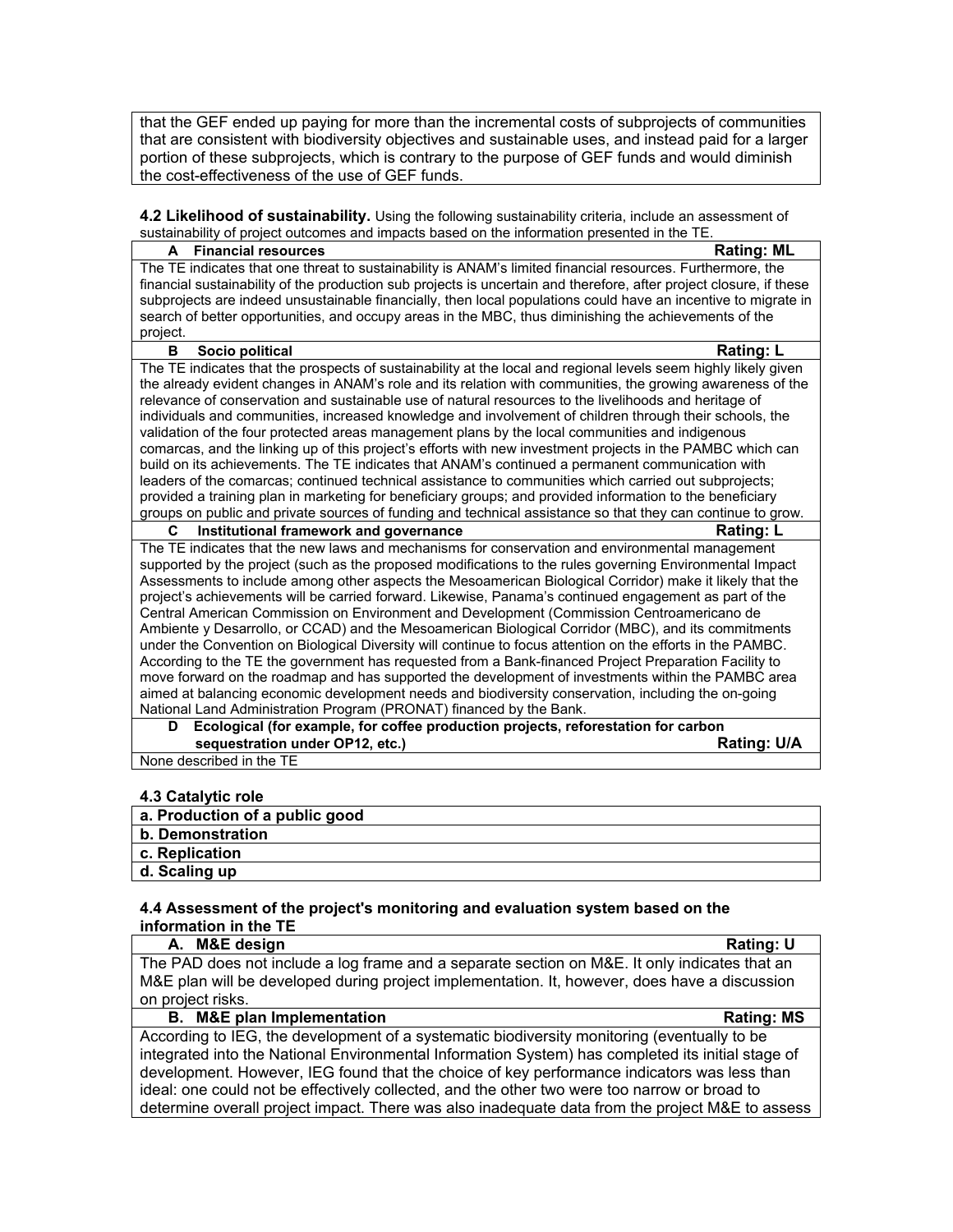that the GEF ended up paying for more than the incremental costs of subprojects of communities that are consistent with biodiversity objectives and sustainable uses, and instead paid for a larger portion of these subprojects, which is contrary to the purpose of GEF funds and would diminish the cost-effectiveness of the use of GEF funds.

**4.2 Likelihood of sustainability.** Using the following sustainability criteria, include an assessment of sustainability of project outcomes and impacts based on the information presented in the TE.

| The TE indicates that one threat to sustainability is ANAM's limited financial resources. Furthermore, the<br>financial sustainability of the production sub projects is uncertain and therefore, after project closure, if these<br>subprojects are indeed unsustainable financially, then local populations could have an incentive to migrate in<br>search of better opportunities, and occupy areas in the MBC, thus diminishing the achievements of the<br>project.<br>B<br>Socio political<br><b>Rating: L</b><br>The TE indicates that the prospects of sustainability at the local and regional levels seem highly likely given<br>the already evident changes in ANAM's role and its relation with communities, the growing awareness of the<br>relevance of conservation and sustainable use of natural resources to the livelihoods and heritage of<br>individuals and communities, increased knowledge and involvement of children through their schools, the<br>validation of the four protected areas management plans by the local communities and indigenous<br>comarcas, and the linking up of this project's efforts with new investment projects in the PAMBC which can<br>build on its achievements. The TE indicates that ANAM's continued a permanent communication with<br>leaders of the comarcas; continued technical assistance to communities which carried out subprojects;<br>provided a training plan in marketing for beneficiary groups; and provided information to the beneficiary<br>groups on public and private sources of funding and technical assistance so that they can continue to grow.<br>C<br><b>Rating: L</b><br>Institutional framework and governance<br>The TE indicates that the new laws and mechanisms for conservation and environmental management<br>supported by the project (such as the proposed modifications to the rules governing Environmental Impact<br>Assessments to include among other aspects the Mesoamerican Biological Corridor) make it likely that the<br>project's achievements will be carried forward. Likewise, Panama's continued engagement as part of the<br>Central American Commission on Environment and Development (Commission Centroamericano de |
|------------------------------------------------------------------------------------------------------------------------------------------------------------------------------------------------------------------------------------------------------------------------------------------------------------------------------------------------------------------------------------------------------------------------------------------------------------------------------------------------------------------------------------------------------------------------------------------------------------------------------------------------------------------------------------------------------------------------------------------------------------------------------------------------------------------------------------------------------------------------------------------------------------------------------------------------------------------------------------------------------------------------------------------------------------------------------------------------------------------------------------------------------------------------------------------------------------------------------------------------------------------------------------------------------------------------------------------------------------------------------------------------------------------------------------------------------------------------------------------------------------------------------------------------------------------------------------------------------------------------------------------------------------------------------------------------------------------------------------------------------------------------------------------------------------------------------------------------------------------------------------------------------------------------------------------------------------------------------------------------------------------------------------------------------------------------------------------------------------------------------------------------------------------------------------------------------------------------------------------|
|                                                                                                                                                                                                                                                                                                                                                                                                                                                                                                                                                                                                                                                                                                                                                                                                                                                                                                                                                                                                                                                                                                                                                                                                                                                                                                                                                                                                                                                                                                                                                                                                                                                                                                                                                                                                                                                                                                                                                                                                                                                                                                                                                                                                                                          |
|                                                                                                                                                                                                                                                                                                                                                                                                                                                                                                                                                                                                                                                                                                                                                                                                                                                                                                                                                                                                                                                                                                                                                                                                                                                                                                                                                                                                                                                                                                                                                                                                                                                                                                                                                                                                                                                                                                                                                                                                                                                                                                                                                                                                                                          |
|                                                                                                                                                                                                                                                                                                                                                                                                                                                                                                                                                                                                                                                                                                                                                                                                                                                                                                                                                                                                                                                                                                                                                                                                                                                                                                                                                                                                                                                                                                                                                                                                                                                                                                                                                                                                                                                                                                                                                                                                                                                                                                                                                                                                                                          |
|                                                                                                                                                                                                                                                                                                                                                                                                                                                                                                                                                                                                                                                                                                                                                                                                                                                                                                                                                                                                                                                                                                                                                                                                                                                                                                                                                                                                                                                                                                                                                                                                                                                                                                                                                                                                                                                                                                                                                                                                                                                                                                                                                                                                                                          |
|                                                                                                                                                                                                                                                                                                                                                                                                                                                                                                                                                                                                                                                                                                                                                                                                                                                                                                                                                                                                                                                                                                                                                                                                                                                                                                                                                                                                                                                                                                                                                                                                                                                                                                                                                                                                                                                                                                                                                                                                                                                                                                                                                                                                                                          |
|                                                                                                                                                                                                                                                                                                                                                                                                                                                                                                                                                                                                                                                                                                                                                                                                                                                                                                                                                                                                                                                                                                                                                                                                                                                                                                                                                                                                                                                                                                                                                                                                                                                                                                                                                                                                                                                                                                                                                                                                                                                                                                                                                                                                                                          |
|                                                                                                                                                                                                                                                                                                                                                                                                                                                                                                                                                                                                                                                                                                                                                                                                                                                                                                                                                                                                                                                                                                                                                                                                                                                                                                                                                                                                                                                                                                                                                                                                                                                                                                                                                                                                                                                                                                                                                                                                                                                                                                                                                                                                                                          |
|                                                                                                                                                                                                                                                                                                                                                                                                                                                                                                                                                                                                                                                                                                                                                                                                                                                                                                                                                                                                                                                                                                                                                                                                                                                                                                                                                                                                                                                                                                                                                                                                                                                                                                                                                                                                                                                                                                                                                                                                                                                                                                                                                                                                                                          |
|                                                                                                                                                                                                                                                                                                                                                                                                                                                                                                                                                                                                                                                                                                                                                                                                                                                                                                                                                                                                                                                                                                                                                                                                                                                                                                                                                                                                                                                                                                                                                                                                                                                                                                                                                                                                                                                                                                                                                                                                                                                                                                                                                                                                                                          |
|                                                                                                                                                                                                                                                                                                                                                                                                                                                                                                                                                                                                                                                                                                                                                                                                                                                                                                                                                                                                                                                                                                                                                                                                                                                                                                                                                                                                                                                                                                                                                                                                                                                                                                                                                                                                                                                                                                                                                                                                                                                                                                                                                                                                                                          |
|                                                                                                                                                                                                                                                                                                                                                                                                                                                                                                                                                                                                                                                                                                                                                                                                                                                                                                                                                                                                                                                                                                                                                                                                                                                                                                                                                                                                                                                                                                                                                                                                                                                                                                                                                                                                                                                                                                                                                                                                                                                                                                                                                                                                                                          |
|                                                                                                                                                                                                                                                                                                                                                                                                                                                                                                                                                                                                                                                                                                                                                                                                                                                                                                                                                                                                                                                                                                                                                                                                                                                                                                                                                                                                                                                                                                                                                                                                                                                                                                                                                                                                                                                                                                                                                                                                                                                                                                                                                                                                                                          |
|                                                                                                                                                                                                                                                                                                                                                                                                                                                                                                                                                                                                                                                                                                                                                                                                                                                                                                                                                                                                                                                                                                                                                                                                                                                                                                                                                                                                                                                                                                                                                                                                                                                                                                                                                                                                                                                                                                                                                                                                                                                                                                                                                                                                                                          |
|                                                                                                                                                                                                                                                                                                                                                                                                                                                                                                                                                                                                                                                                                                                                                                                                                                                                                                                                                                                                                                                                                                                                                                                                                                                                                                                                                                                                                                                                                                                                                                                                                                                                                                                                                                                                                                                                                                                                                                                                                                                                                                                                                                                                                                          |
|                                                                                                                                                                                                                                                                                                                                                                                                                                                                                                                                                                                                                                                                                                                                                                                                                                                                                                                                                                                                                                                                                                                                                                                                                                                                                                                                                                                                                                                                                                                                                                                                                                                                                                                                                                                                                                                                                                                                                                                                                                                                                                                                                                                                                                          |
|                                                                                                                                                                                                                                                                                                                                                                                                                                                                                                                                                                                                                                                                                                                                                                                                                                                                                                                                                                                                                                                                                                                                                                                                                                                                                                                                                                                                                                                                                                                                                                                                                                                                                                                                                                                                                                                                                                                                                                                                                                                                                                                                                                                                                                          |
|                                                                                                                                                                                                                                                                                                                                                                                                                                                                                                                                                                                                                                                                                                                                                                                                                                                                                                                                                                                                                                                                                                                                                                                                                                                                                                                                                                                                                                                                                                                                                                                                                                                                                                                                                                                                                                                                                                                                                                                                                                                                                                                                                                                                                                          |
|                                                                                                                                                                                                                                                                                                                                                                                                                                                                                                                                                                                                                                                                                                                                                                                                                                                                                                                                                                                                                                                                                                                                                                                                                                                                                                                                                                                                                                                                                                                                                                                                                                                                                                                                                                                                                                                                                                                                                                                                                                                                                                                                                                                                                                          |
|                                                                                                                                                                                                                                                                                                                                                                                                                                                                                                                                                                                                                                                                                                                                                                                                                                                                                                                                                                                                                                                                                                                                                                                                                                                                                                                                                                                                                                                                                                                                                                                                                                                                                                                                                                                                                                                                                                                                                                                                                                                                                                                                                                                                                                          |
|                                                                                                                                                                                                                                                                                                                                                                                                                                                                                                                                                                                                                                                                                                                                                                                                                                                                                                                                                                                                                                                                                                                                                                                                                                                                                                                                                                                                                                                                                                                                                                                                                                                                                                                                                                                                                                                                                                                                                                                                                                                                                                                                                                                                                                          |
|                                                                                                                                                                                                                                                                                                                                                                                                                                                                                                                                                                                                                                                                                                                                                                                                                                                                                                                                                                                                                                                                                                                                                                                                                                                                                                                                                                                                                                                                                                                                                                                                                                                                                                                                                                                                                                                                                                                                                                                                                                                                                                                                                                                                                                          |
|                                                                                                                                                                                                                                                                                                                                                                                                                                                                                                                                                                                                                                                                                                                                                                                                                                                                                                                                                                                                                                                                                                                                                                                                                                                                                                                                                                                                                                                                                                                                                                                                                                                                                                                                                                                                                                                                                                                                                                                                                                                                                                                                                                                                                                          |
| Ambiente y Desarrollo, or CCAD) and the Mesoamerican Biological Corridor (MBC), and its commitments                                                                                                                                                                                                                                                                                                                                                                                                                                                                                                                                                                                                                                                                                                                                                                                                                                                                                                                                                                                                                                                                                                                                                                                                                                                                                                                                                                                                                                                                                                                                                                                                                                                                                                                                                                                                                                                                                                                                                                                                                                                                                                                                      |
| under the Convention on Biological Diversity will continue to focus attention on the efforts in the PAMBC.                                                                                                                                                                                                                                                                                                                                                                                                                                                                                                                                                                                                                                                                                                                                                                                                                                                                                                                                                                                                                                                                                                                                                                                                                                                                                                                                                                                                                                                                                                                                                                                                                                                                                                                                                                                                                                                                                                                                                                                                                                                                                                                               |
| According to the TE the government has requested from a Bank-financed Project Preparation Facility to                                                                                                                                                                                                                                                                                                                                                                                                                                                                                                                                                                                                                                                                                                                                                                                                                                                                                                                                                                                                                                                                                                                                                                                                                                                                                                                                                                                                                                                                                                                                                                                                                                                                                                                                                                                                                                                                                                                                                                                                                                                                                                                                    |
| move forward on the roadmap and has supported the development of investments within the PAMBC area                                                                                                                                                                                                                                                                                                                                                                                                                                                                                                                                                                                                                                                                                                                                                                                                                                                                                                                                                                                                                                                                                                                                                                                                                                                                                                                                                                                                                                                                                                                                                                                                                                                                                                                                                                                                                                                                                                                                                                                                                                                                                                                                       |
| aimed at balancing economic development needs and biodiversity conservation, including the on-going                                                                                                                                                                                                                                                                                                                                                                                                                                                                                                                                                                                                                                                                                                                                                                                                                                                                                                                                                                                                                                                                                                                                                                                                                                                                                                                                                                                                                                                                                                                                                                                                                                                                                                                                                                                                                                                                                                                                                                                                                                                                                                                                      |
| National Land Administration Program (PRONAT) financed by the Bank.                                                                                                                                                                                                                                                                                                                                                                                                                                                                                                                                                                                                                                                                                                                                                                                                                                                                                                                                                                                                                                                                                                                                                                                                                                                                                                                                                                                                                                                                                                                                                                                                                                                                                                                                                                                                                                                                                                                                                                                                                                                                                                                                                                      |
| Ecological (for example, for coffee production projects, reforestation for carbon<br>D                                                                                                                                                                                                                                                                                                                                                                                                                                                                                                                                                                                                                                                                                                                                                                                                                                                                                                                                                                                                                                                                                                                                                                                                                                                                                                                                                                                                                                                                                                                                                                                                                                                                                                                                                                                                                                                                                                                                                                                                                                                                                                                                                   |
| sequestration under OP12, etc.)<br><b>Rating: U/A</b>                                                                                                                                                                                                                                                                                                                                                                                                                                                                                                                                                                                                                                                                                                                                                                                                                                                                                                                                                                                                                                                                                                                                                                                                                                                                                                                                                                                                                                                                                                                                                                                                                                                                                                                                                                                                                                                                                                                                                                                                                                                                                                                                                                                    |
| None described in the TE                                                                                                                                                                                                                                                                                                                                                                                                                                                                                                                                                                                                                                                                                                                                                                                                                                                                                                                                                                                                                                                                                                                                                                                                                                                                                                                                                                                                                                                                                                                                                                                                                                                                                                                                                                                                                                                                                                                                                                                                                                                                                                                                                                                                                 |

# **4.3 Catalytic role**

| a. Production of a public good |
|--------------------------------|
| b. Demonstration               |
| c. Replication                 |
| d. Scaling up                  |

#### **4.4 Assessment of the project's monitoring and evaluation system based on the information in the TE**

| The PAD does not include a log frame and a separate section on M&E. It only indicates that an<br>M&E plan will be developed during project implementation. It, however, does have a discussion |                   |  |
|------------------------------------------------------------------------------------------------------------------------------------------------------------------------------------------------|-------------------|--|
|                                                                                                                                                                                                |                   |  |
|                                                                                                                                                                                                |                   |  |
| on project risks.                                                                                                                                                                              |                   |  |
| <b>B.</b> M&E plan Implementation                                                                                                                                                              | <b>Rating: MS</b> |  |
| According to IEG, the development of a systematic biodiversity monitoring (eventually to be                                                                                                    |                   |  |
| integrated into the National Environmental Information System) has completed its initial stage of                                                                                              |                   |  |
| development. However, IEG found that the choice of key performance indicators was less than                                                                                                    |                   |  |
| ideal: one could not be effectively collected, and the other two were too narrow or broad to                                                                                                   |                   |  |
| determine overall project impact. There was also inadequate data from the project M&E to assess                                                                                                |                   |  |
|                                                                                                                                                                                                |                   |  |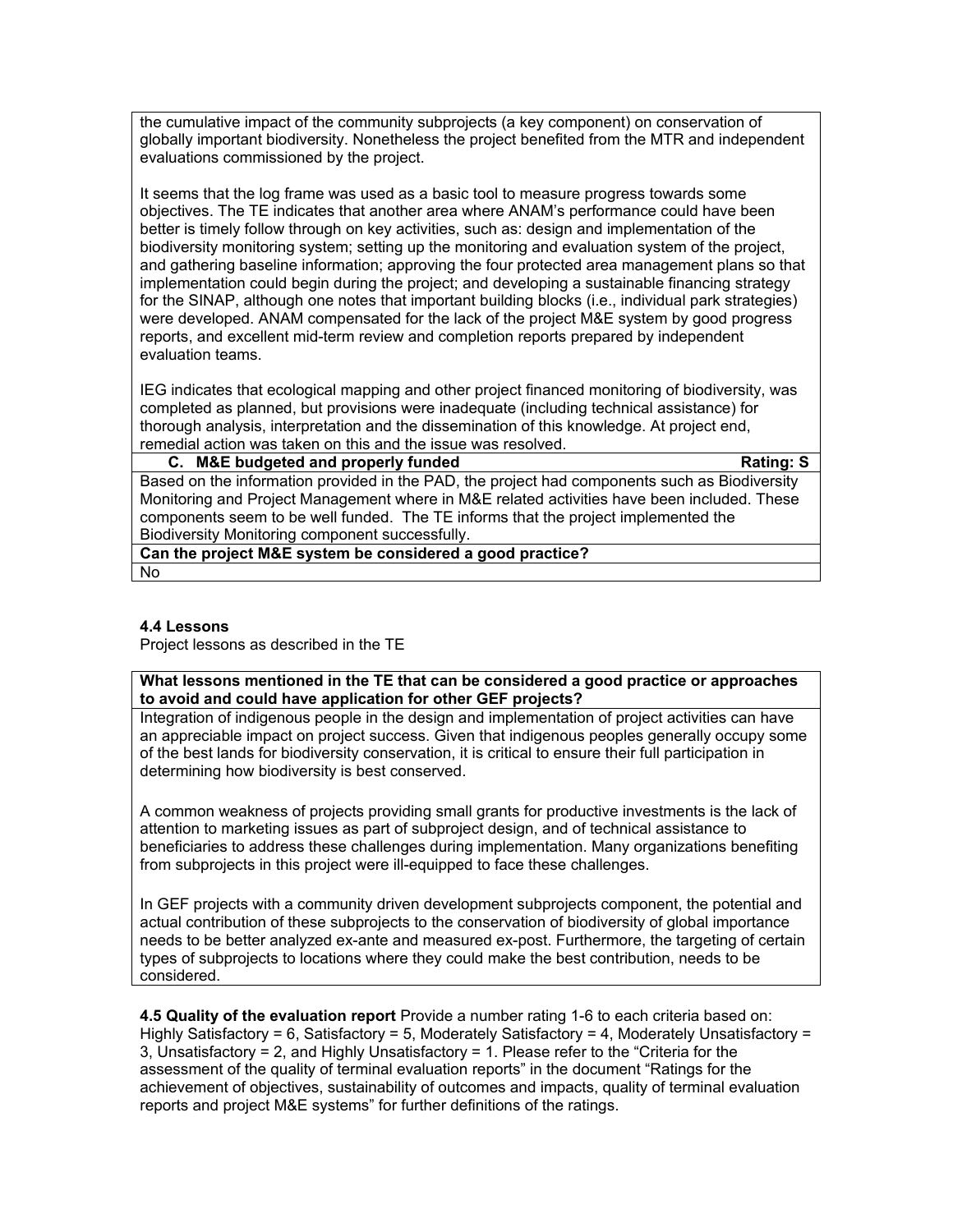the cumulative impact of the community subprojects (a key component) on conservation of globally important biodiversity. Nonetheless the project benefited from the MTR and independent evaluations commissioned by the project.

It seems that the log frame was used as a basic tool to measure progress towards some objectives. The TE indicates that another area where ANAM's performance could have been better is timely follow through on key activities, such as: design and implementation of the biodiversity monitoring system; setting up the monitoring and evaluation system of the project, and gathering baseline information; approving the four protected area management plans so that implementation could begin during the project; and developing a sustainable financing strategy for the SINAP, although one notes that important building blocks (i.e., individual park strategies) were developed. ANAM compensated for the lack of the project M&E system by good progress reports, and excellent mid-term review and completion reports prepared by independent evaluation teams.

IEG indicates that ecological mapping and other project financed monitoring of biodiversity, was completed as planned, but provisions were inadequate (including technical assistance) for thorough analysis, interpretation and the dissemination of this knowledge. At project end, remedial action was taken on this and the issue was resolved.

#### **C. M&E budgeted and properly funded Rating: S**

Based on the information provided in the PAD, the project had components such as Biodiversity Monitoring and Project Management where in M&E related activities have been included. These components seem to be well funded. The TE informs that the project implemented the Biodiversity Monitoring component successfully.

**Can the project M&E system be considered a good practice?** No

#### **4.4 Lessons**

Project lessons as described in the TE

**What lessons mentioned in the TE that can be considered a good practice or approaches to avoid and could have application for other GEF projects?**

Integration of indigenous people in the design and implementation of project activities can have an appreciable impact on project success. Given that indigenous peoples generally occupy some of the best lands for biodiversity conservation, it is critical to ensure their full participation in determining how biodiversity is best conserved.

A common weakness of projects providing small grants for productive investments is the lack of attention to marketing issues as part of subproject design, and of technical assistance to beneficiaries to address these challenges during implementation. Many organizations benefiting from subprojects in this project were ill-equipped to face these challenges.

In GEF projects with a community driven development subprojects component, the potential and actual contribution of these subprojects to the conservation of biodiversity of global importance needs to be better analyzed ex-ante and measured ex-post. Furthermore, the targeting of certain types of subprojects to locations where they could make the best contribution, needs to be considered.

**4.5 Quality of the evaluation report** Provide a number rating 1-6 to each criteria based on: Highly Satisfactory = 6, Satisfactory = 5, Moderately Satisfactory = 4, Moderately Unsatisfactory = 3, Unsatisfactory = 2, and Highly Unsatisfactory = 1. Please refer to the "Criteria for the assessment of the quality of terminal evaluation reports" in the document "Ratings for the achievement of objectives, sustainability of outcomes and impacts, quality of terminal evaluation reports and project M&E systems" for further definitions of the ratings.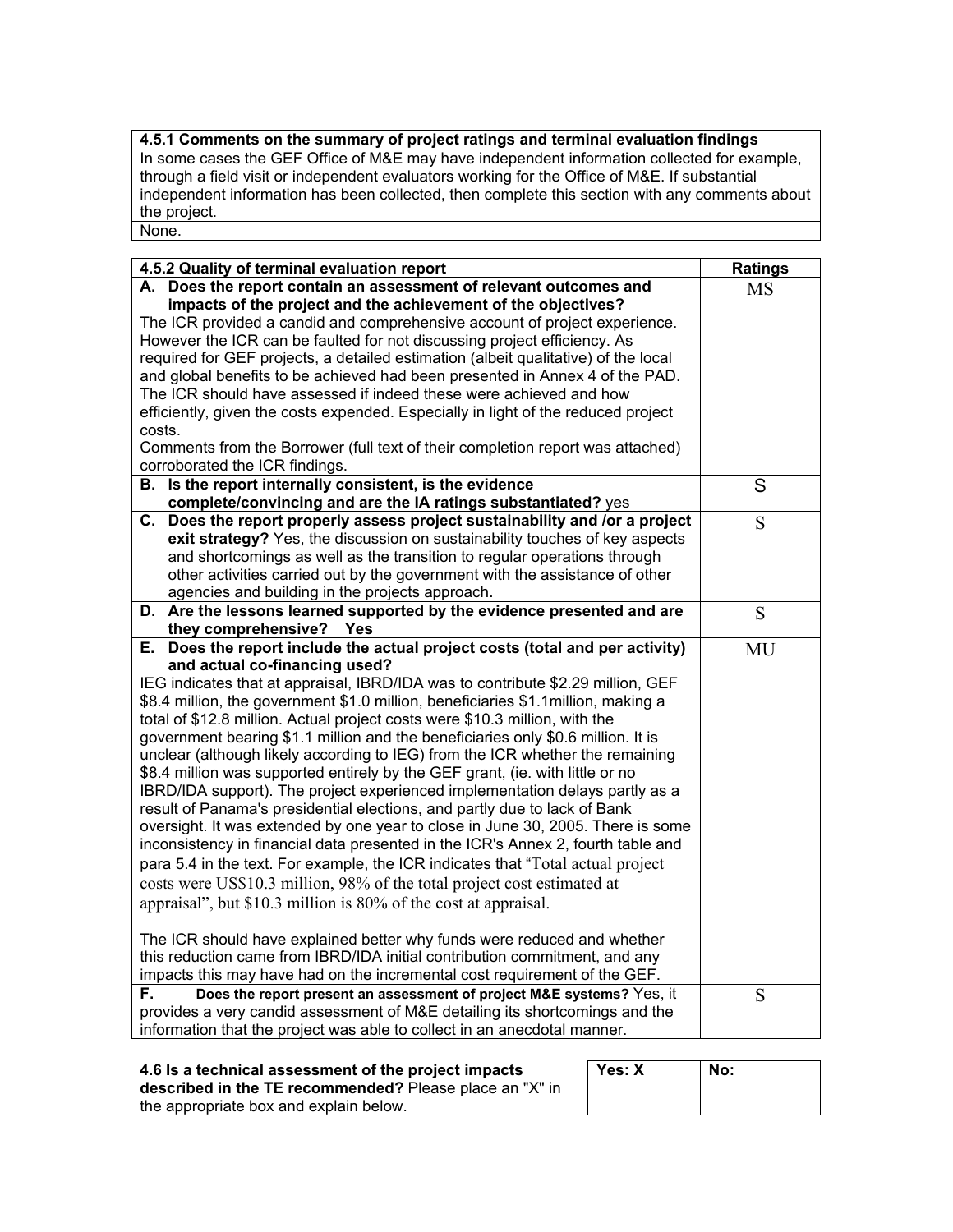# **4.5.1 Comments on the summary of project ratings and terminal evaluation findings**

In some cases the GEF Office of M&E may have independent information collected for example, through a field visit or independent evaluators working for the Office of M&E. If substantial independent information has been collected, then complete this section with any comments about the project. None.

| 4.5.2 Quality of terminal evaluation report                                        | Ratings   |
|------------------------------------------------------------------------------------|-----------|
| A. Does the report contain an assessment of relevant outcomes and                  | <b>MS</b> |
| impacts of the project and the achievement of the objectives?                      |           |
| The ICR provided a candid and comprehensive account of project experience.         |           |
| However the ICR can be faulted for not discussing project efficiency. As           |           |
| required for GEF projects, a detailed estimation (albeit qualitative) of the local |           |
| and global benefits to be achieved had been presented in Annex 4 of the PAD.       |           |
| The ICR should have assessed if indeed these were achieved and how                 |           |
| efficiently, given the costs expended. Especially in light of the reduced project  |           |
| costs.                                                                             |           |
| Comments from the Borrower (full text of their completion report was attached)     |           |
| corroborated the ICR findings.                                                     |           |
| B. Is the report internally consistent, is the evidence                            | S         |
| complete/convincing and are the IA ratings substantiated? yes                      |           |
| C. Does the report properly assess project sustainability and /or a project        | S         |
| exit strategy? Yes, the discussion on sustainability touches of key aspects        |           |
| and shortcomings as well as the transition to regular operations through           |           |
| other activities carried out by the government with the assistance of other        |           |
| agencies and building in the projects approach.                                    |           |
| D. Are the lessons learned supported by the evidence presented and are             | S         |
| they comprehensive? Yes                                                            |           |
| E. Does the report include the actual project costs (total and per activity)       | MU        |
| and actual co-financing used?                                                      |           |
| IEG indicates that at appraisal, IBRD/IDA was to contribute \$2.29 million, GEF    |           |
| \$8.4 million, the government \$1.0 million, beneficiaries \$1.1 million, making a |           |
| total of \$12.8 million. Actual project costs were \$10.3 million, with the        |           |
| government bearing \$1.1 million and the beneficiaries only \$0.6 million. It is   |           |
| unclear (although likely according to IEG) from the ICR whether the remaining      |           |
| \$8.4 million was supported entirely by the GEF grant, (ie. with little or no      |           |
| IBRD/IDA support). The project experienced implementation delays partly as a       |           |
| result of Panama's presidential elections, and partly due to lack of Bank          |           |
| oversight. It was extended by one year to close in June 30, 2005. There is some    |           |
| inconsistency in financial data presented in the ICR's Annex 2, fourth table and   |           |
| para 5.4 in the text. For example, the ICR indicates that "Total actual project    |           |
| costs were US\$10.3 million, 98% of the total project cost estimated at            |           |
| appraisal", but \$10.3 million is 80% of the cost at appraisal.                    |           |
| The ICR should have explained better why funds were reduced and whether            |           |
| this reduction came from IBRD/IDA initial contribution commitment, and any         |           |
| impacts this may have had on the incremental cost requirement of the GEF.          |           |
| Does the report present an assessment of project M&E systems? Yes, it<br>F.        | S         |
| provides a very candid assessment of M&E detailing its shortcomings and the        |           |
| information that the project was able to collect in an anecdotal manner.           |           |

| 4.6 Is a technical assessment of the project impacts    | Yes: X | No: |
|---------------------------------------------------------|--------|-----|
| described in the TE recommended? Please place an "X" in |        |     |
| the appropriate box and explain below.                  |        |     |